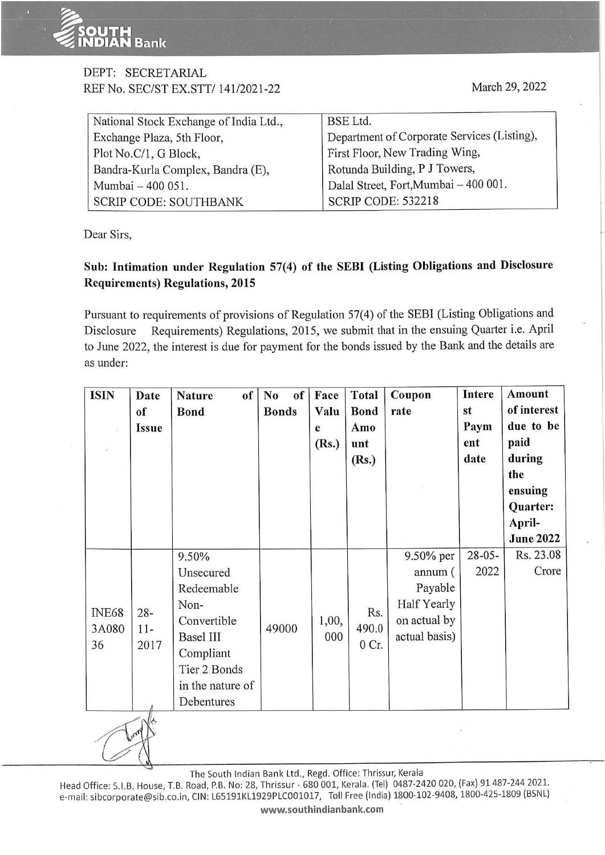## T**H**<br>AN Bank

## DEPT: SECRETARIAL REF No. SEC/ST EX.SIT/ 141/2021-22

| National Stock Exchange of India Ltd., | BSE Ltd.                                    |
|----------------------------------------|---------------------------------------------|
| Exchange Plaza, 5th Floor,             | Department of Corporate Services (Listing), |
| Plot No.C/1, G Block,                  | First Floor, New Trading Wing,              |
| Bandra-Kurla Complex, Bandra (E),      | Rotunda Building, P J Towers,               |
| Mumbai - 400 051.                      | Dalal Street, Fort, Mumbai - 400 001.       |
| <b>SCRIP CODE: SOUTHBANK</b>           | <b>SCRIP CODE: 532218</b>                   |

Dear Sirs,

-.,

## **Sub: Intimation under Regulation 57(4) of the SEBI (Listing Obligations and Disclosure Requirements) Regulations, 2015**

Pursuant to requirements of provisions of Regulation 57(4) of the SEBI (Listing Obligations and Disclosure Requirements) Regulations, 2015, we submit that in the ensuing Quarter i.e. April to June 2022, the interest is due for payment for the bonds issued by the Bank and the details are as under:

| <b>ISIN</b>                 | Date<br>of<br><b>Issue</b> | of<br><b>Nature</b><br><b>Bond</b>                                                                                                         | N <sub>0</sub><br>of<br><b>Bonds</b> | Face<br>Valu<br>e<br>(Rs.) | <b>Total</b><br><b>Bond</b><br>Amo<br>unt<br>(Rs.) | Coupon<br>rate                                                                  | Intere<br>st<br>Paym<br>ent<br>date | Amount<br>of interest<br>due to be<br>paid<br>during<br>the<br>ensuing<br>Quarter:<br>April-<br><b>June 2022</b> |
|-----------------------------|----------------------------|--------------------------------------------------------------------------------------------------------------------------------------------|--------------------------------------|----------------------------|----------------------------------------------------|---------------------------------------------------------------------------------|-------------------------------------|------------------------------------------------------------------------------------------------------------------|
| <b>INE68</b><br>3A080<br>36 | $28 -$<br>$11-$<br>2017    | 9.50%<br>Unsecured<br>Redeemable<br>Non-<br>Convertible<br><b>Basel III</b><br>Compliant<br>Tier 2 Bonds<br>in the nature of<br>Debentures | 49000                                | 1,00,<br>000               | Rs.<br>490.0<br>0 Cr.                              | 9.50% per<br>annum (<br>Payable<br>Half Yearly<br>on actual by<br>actual basis) | $28 - 05 -$<br>2022                 | Rs. 23.08<br>Crore                                                                                               |
|                             | Long                       |                                                                                                                                            |                                      |                            |                                                    |                                                                                 |                                     |                                                                                                                  |

The South Indian Bank Ltd., Regd. Office: Thrissur, Kerala

Head Office: S.I.B. House, T.B. Road, P.B. No: 28, Thrissur - 680 001, Kerala. (Tel) 0487-2420 020, (Fax) 91 487-244 2021. e-mail: sibcorporate@sib.co.in, CIN: L65191KL1929PLC001017, Toll Free (India) 1800-102-9408, 1800-425-1809 (BSNL) **www.southindianbank.com**